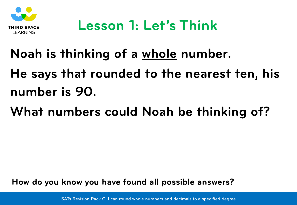

#### **Noah is thinking of a whole number.**

**He says that rounded to the nearest ten, his number is 90.**

**What numbers could Noah be thinking of?**

**How do you know you have found all possible answers?**

SATs Revision Pack C: I can round whole numbers and decimals to a specified degree SATs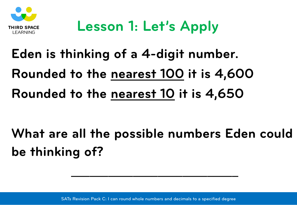

## **Lesson 1: Let's Apply**

# **Eden is thinking of a 4-digit number. Rounded to the nearest 100 it is 4,600 Rounded to the nearest 10 it is 4,650**

**What are all the possible numbers Eden could be thinking of?**

**\_\_\_\_\_\_\_\_\_\_\_\_\_\_\_\_\_\_\_\_\_\_\_\_\_\_\_**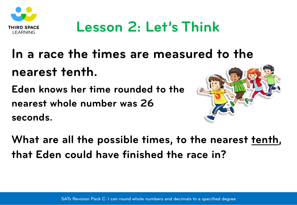

### **Lesson 2: Let's Think**

### **In a race the times are measured to the nearest tenth.**

**Eden knows her time rounded to the nearest whole number was 26 seconds.**



**What are all the possible times, to the nearest tenth, that Eden could have finished the race in?**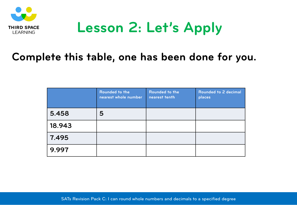

#### **Lesson 2: Let's Apply**

#### **Complete this table, one has been done for you.**

|        | Rounded to the<br>nearest whole number | Rounded to the<br>nearest tenth | Rounded to 2 decimal<br>places |
|--------|----------------------------------------|---------------------------------|--------------------------------|
| 5.458  | 5                                      |                                 |                                |
| 18.943 |                                        |                                 |                                |
| 7.495  |                                        |                                 |                                |
| 9.997  |                                        |                                 |                                |

SATs Revision Pack C: I can round whole numbers and decimals to a specified degree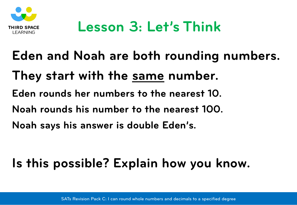

**Eden and Noah are both rounding numbers. They start with the same number. Eden rounds her numbers to the nearest 10. Noah rounds his number to the nearest 100. Noah says his answer is double Eden's.** 

#### **Is this possible? Explain how you know.**